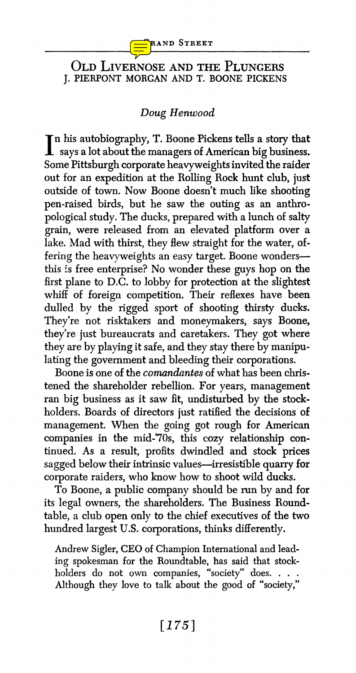

## **OLD LIVERNOSE AND THE PLUNGERS J. PIERPONT MORGAN AND T. BOONE PICKENS**

## **Doug Henwood**

**In his autobiography, T. Boone Pickens tells a story that says a lot about the managers of American big business. Some Pittsburgh corporate heavyweights invited the raider out for an expedition at the Rolling Rock hunt club, just outside of town. Now Boone doesn't much like shooting pen-raised birds, but he saw the outing as an anthro pological study. The ducks, prepared with a lunch of salty grain, were released from an elevated platform over a**  lake. Mad with thirst, they flew straight for the water, offering the heavyweights an easy target. Boone wonders**this is free enterprise? No wonder these guys hop on the first plane to D.C. to lobby for protection at the slightest whiff of foreign competition. Their reflexes have been dulled by the rigged sport of shooting thirsty ducks. They're not risktakers and moneymakers, says Boone, they're just bureaucrats and caretakers. They got where they are by playing it safe, and they stay there by manipu lating the government and bleeding their corporations.** 

**Boone is one of the comandantes of what has been chris tened the shareholder rebellion. For years, management ran big business as it saw fit, undisturbed by the stock holders. Boards of directors just ratified the decisions of management. When the going got rough for American**  companies in the mid-'70s, this cozy relationship con**tinued. As a result, profits dwindled and stock prices sagged below their intrinsic values-irresistible quarry for corporate raiders, who know how to shoot wild ducks.** 

**To Boone, a public company should be run by and for its legal owners, the shareholders. The Business Round table, a club open only to the chief executives of the two hundred largest U.S. corporations, thinks differently.** 

**Andrew Sigler, CEO of Champion International and lead ing spokesman for the Roundtable, has said that stock holders do not own companies, "society" does.... Although they love to talk about the good of "society,"**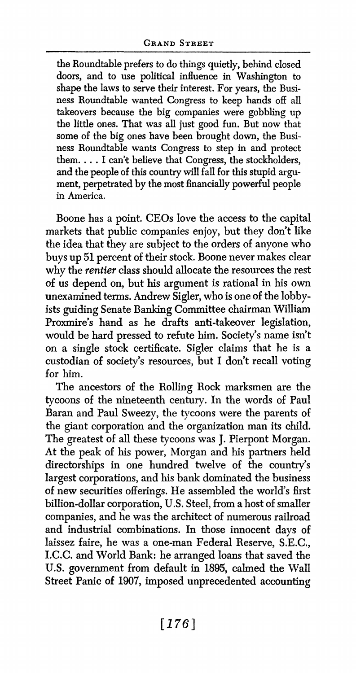**the Roundtable prefers to do things quietly, behind closed doors, and to use political influence in Washington to**  shape the laws to serve their interest. For years, the Busi**ness Roundtable wanted Congress to keep hands off all takeovers because the big companies were gobbling up the little ones. That was all just good fun. But now that**  some of the big ones have been brought down, the Busi**ness Roundtable wants Congress to step in and protect them.... I can't believe that Congress, the stockholders,**  and the people of this country will fall for this stupid argu**ment, perpetrated by the most financially powerful people in America.** 

**Boone has a point. CEOs love the access to the capital markets that public companies enjoy, but they don't like the idea that they are subject to the orders of anyone who buys up 51 percent of their stock. Boone never makes clear why the rentier class should allocate the resources the rest of us depend on, but his argument is rational in his own unexamined terms. Andrew Sigler, who is one of the lobby ists guiding Senate Banking Committee chairman William Proxmire's hand as he drafts anti-takeover legislation, would be hard pressed to refute him. Society's name isn't on a single stock certificate. Sigler claims that he is a custodian of society's resources, but I don't recall voting for him.** 

**The ancestors of the Rolling Rock marksmen are the tycoons of the nineteenth century. In the words of Paul Baran and Paul Sweezy, the tycoons were the parents of the giant corporation and the organization man its child. The greatest of all these tycoons was J. Pierpont Morgan. At the peak of his power, Morgan and his partners held directorships in one hundred twelve of the country's largest corporations, and his bank dominated the business of new securities offerings. He assembled the world's first billion-dollar corporation, U.S. Steel, from a host of smaller companies, and he was the architect of numerous railroad and industrial combinations. In those innocent days of laissez faire, he was a one-man Federal Reserve, S.E.C., I.C.C. and World Bank: he arranged loans that saved the U.S. government from default in 1895, calmed the Wall Street Panic of 1907, imposed unprecedented accounting**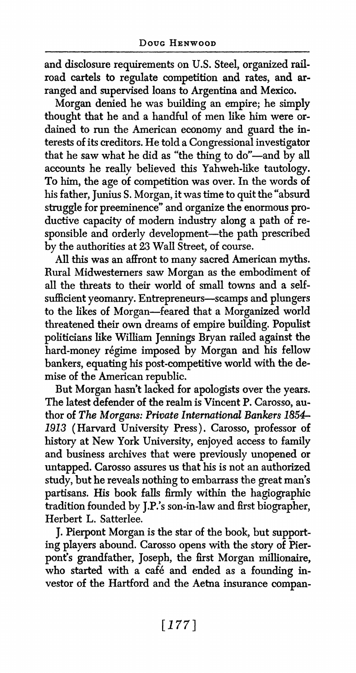**and disclosure requirements on U.S. Steel, organized rail road cartels to regulate competition and rates, and ar ranged and supervised loans to Argentina and Mexico.** 

**Morgan denied he was building an empire; he simply**  thought that he and a handful of men like him were ordained to run the American economy and guard the in**terests of its creditors. He told a Congressional investigator**  that he saw what he did as "the thing to do"-and by all **accounts he really believed this Yahweh-like tautology. To him, the age of competition was over. In the words of his father, Junius S. Morgan, it was time to quit the "absurd struggle for preeminence" and organize the enormous pro ductive capacity of modem industry along a path of re**  sponsible and orderly development-the path prescribed **by the authorities at 23 Wall Street, of course.** 

**All this was an affront to many sacred American myths. Rural Midwesterners saw Morgan as the embodiment of**  all the threats to their world of small towns and a self**sufficient yeomanry. Entrepreneurs-scamps and plungers to the likes of Morgan-feared that a Morganized world threatened their own dreams of empire building. Populist politicians like Willam Jennings Bryan railed against the hard-money regime imposed by Morgan and his fellow bankers, equating his post-competitive world with the de mise of the American republic.** 

**But Morgan hasn't lacked for apologists over the years. The latest defender of the realm is Vincent P. Carosso, au thor of The Morgans: Private International Bankers 1854 1913 (Harvard University Press). Carosso, professor of history at New York University, enjoyed access to family and business archives that were previously unopened or untapped. Carosso assures us that his is not an authorized study, but he reveals nothing to embarrass the great man's partisans. His book falls firmly within the hagiographic tradition founded by J.P.'s son-in-law and first biographer, Herbert L. Satterlee.** 

**J. Pierpont Morgan is the star of the book, but support ing players abound. Carosso opens with the story of Pier pont's grandfather, Joseph, the first Morgan millionaire,**  who started with a café and ended as a founding in**vestor of the Hartford and the Aetna insurance compan**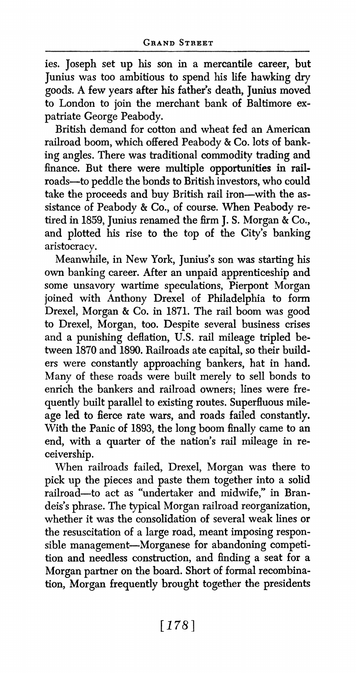**ies. Joseph set up his son in a mercantile career, but Junius was too ambitious to spend his life hawking dry goods. A few years after his father's death, Junius moved to London to join the merchant bank of Baltimore ex patriate George Peabody.** 

**British demand for cotton and wheat fed an American railroad boom, which offered Peabody & Co. lots of bank ing angles. There was traditional commodity trading and finance. But there were multiple opportunities in rail roads-to peddle the bonds to British investors, who could**  take the proceeds and buy British rail iron-with the as**sistance of Peabody & Co., of course. When Peabody re tired in 1859, Junius renamed the firm J. S. Morgan & Co., and plotted his rise to the top of the City's banking aristocracy.** 

**Meanwhile, in New York, Junius's son was starting his own banking career. After an unpaid apprenticeship and some unsavory wartime speculations, Pierpont Morgan joined with Anthony Drexel of Philadelphia to form Drexel, Morgan & Co. in 1871. The rail boom was good to Drexel, Morgan, too. Despite several business crises and a punishing deflation, U.S. rail mileage tripled be tween 1870 and 1890. Railroads ate capital, so their build ers were constantly approaching bankers, hat in hand. Many of these roads were built merely to sell bonds to**  enrich the bankers and railroad owners; lines were fre**quently built parallel to existing routes. Superfluous mile age led to fierce rate wars, and roads failed constantly. With the Panic of 1893, the long boom finally came to an**  end, with a quarter of the nation's rail mileage in re**ceivership.** 

**When railroads failed, Drexel, Morgan was there to pick up the pieces and paste them together into a solid railroad-to act as "undertaker and midwife," in Bran deis's phrase. The typical Morgan railroad reorganization, whether it was the consolidation of several weak lines or the resuscitation of a large road, meant imposing respon sible management-Morganese for abandoning competi tion and needless construction, and finding a seat for a Morgan partner on the board. Short of formal recombina tion, Morgan frequently brought together the presidents**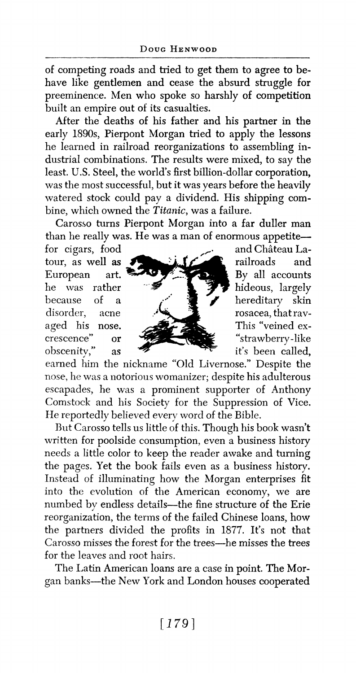**of competing roads and tried to get them to agree to be have like gentlemen and cease the absurd struggle for preeminence. Men who spoke so harshly of competition built an empire out of its casualties.** 

**After the deaths of his father and his partner in the early 1890s, Pierpont Morgan tried to apply the lessons he learned in railroad reorganizations to assembling in dustrial combinations. The results were mixed, to say the least. U.S. Steel, the world's first billion-dollar corporation, was the most successful, but it was years before the heavily watered stock could pay a dividend. His shipping com bine, which owned the Titanic, was a failure.** 

**Carosso turns Pierpont Morgan into a far duller man than he really was. He was a man of enormous appetite—**<br>for cigars. food chateau La-

tour, as well **as**<br>European art. **obscenity, as it's been-called example.** 



**earned him the nickname "Old Livernose." Despite the -nose, he was a notorious womanizer; despite his adulterous escapades, he was a prominent supporter of Anthony Comstock and his Society for the Suppression of Vice. He reportedly believed every word of the Bible.** 

**Btut Carosso tells us little of this. Though his book wasn't written for poolside consumption, even a business history needs a little color to keep the reader awake and turning the pages. Yet the book fails even as a business history. Instead of illuminating how the Morgan enterprises fit into the evolution of the American economy, we are numbed by endless details-the fine structure of the Erie reorganization, the terms of the failed Chinese loans, how the partners divided the profits in 1877. It's not that Carosso misses the forest for the trees-he misses the trees for the leaves and root hairs.** 

The Latin American loans are a case in point. The Mor**gan banks-the New York and London houses cooperated**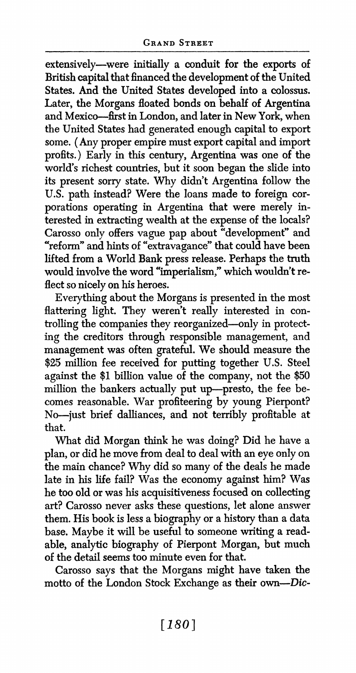**extensively-were initially a conduit for the exports of British capital that financed the development of the United States. And the United States developed into a colossus. Later, the Morgans floated bonds on behalf of Argentina and Mexico-first in London, and later in New York, when the United States had generated enough capital to export some. (Any proper empire must export capital and import profits.) Early in this century, Argentina was one of the world's richest countries, but it soon began the slide into its present sorry state. Why didn't Argentina follow the**  U.S. path instead? Were the loans made to foreign corporations operating in Argentina that were merely in**terested in extracting wealth at the expense of the locals? Carosso only offers vague pap about "development" and "reform" and hints of "extravagance" that could have been lifted from a World Bank press release. Perhaps the truth**  would involve the word "imperialism," which wouldn't re**flect so nicely on his heroes.** 

**Everything about the Morgans is presented in the most**  flattering light. They weren't really interested in con**trolling the companies they reorganized-only in protect ing the creditors through responsible management, and management was often grateful. We should measure the \$25 million fee received for putting together U.S. Steel against the \$1 billion value of the company, not the \$50 million the bankers actually put up-presto, the fee be comes reasonable. War profiteering by young Pierpont? No-just brief dalliances, and not terribly profitable at that.** 

**What did Morgan think he was doing? Did he have a plan, or did he move from deal to deal with an eye only on the main chance? Why did so many of the deals he made late in his life fail? Was the economy against him? Was he too old or was his acquisitiveness focused on collecting art? Carosso never asks these questions, let alone answer them. His book is less a biography or a history than a data base. Maybe it will be useful to someone writing a read able, analytic biography of Pierpont Morgan, but much of the detail seems too minute even for that.** 

**Carosso says that the Morgans might have taken the motto of the London Stock Exchange as their own-Dic**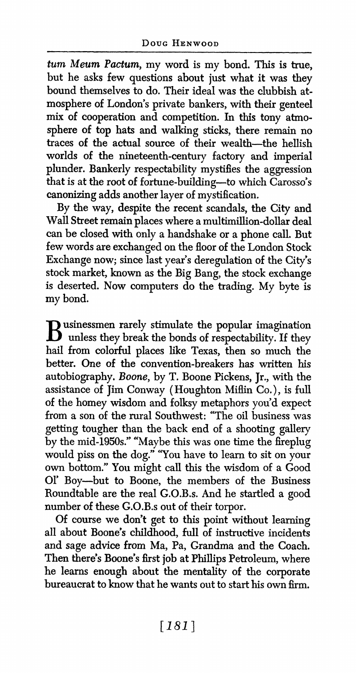**turm Meum Pactum, my word is my bond. This is true, but he asks few questions about just what it was they bound themselves to do. Their ideal was the clubbish at mosphere of London's private bankers, with their genteel mix of cooperation and competition. In this tony atmo sphere of top hats and walking sticks, there remain no traces of the actual source of their wealth-the hellish worlds of the nineteenth-century factory and imperial plunder. Bankerly respectability mystifies the aggression that is at the root of fortune-building--to which Carosso's canonizng adds another layer of mystification.** 

**By the way, despite the recent scandals, the City and**  Wall Street remain places where a multimillion-dollar deal **can be closed with only a handshake or a phone call. But few words are exchanged on the floor of the London Stock Exchange now; since last year's deregulation of the City's stock market, known as the Big Bang, the stock exchange is deserted. Now computers do the trading. My byte is my bond.** 

**B usinessmen rarely stimulate the popular imagination unless they break the bonds of respectability. If they hail from colorful places like Texas, then so much the better. One of the convention-breakers has written his autobiography. Boone, by T. Boone Pickens, Jr., with the assistance of Jim Conway (Houghton Miffin Co.), is full of the homey wisdom and folksy metaphors you'd expect from a son of the rural Southwest: "The oil business was getting tougher than the back end of a shooting gallery by the mid-1950s." "Maybe this was one time the fireplug would piss on the dog." "You have to learn to sit on your own bottom." You might call this the wisdom of a Good or Boy-but to Boone, the members of the Business Roundtable are the real G.O.B.s. And he startled a good number of these G.O.B.s out of their torpor.** 

**Of course we don't get to this point without leaming all about Boone's childhood, full of instructive incidents and sage advice from Ma, Pa, Grandma and the Coach. Then there's Boone's first job at Phillips Petroleum, where he learns enough about the mentality of the corporate bureaucrat to know that he wants out to start his own firm.**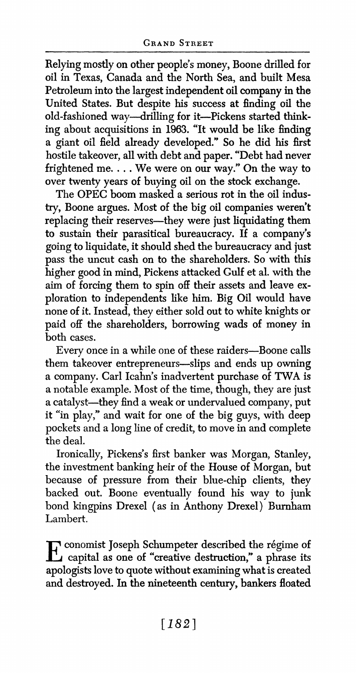**Relying mostly on other people's money, Boone drilled for oil in Texas, Canada and the North Sea, and built Mesa Petroleum into the largest independent oil company in the United States. But despite his success at finding oil the old-fashioned way-drilling for it-Pickens started think ing about acquisitions in 1963. "It would be like finding a giant oil field already developed." So he did his first hostile takeover, all with debt and paper. "Debt had never frightened me. . .. We were on our way." On the way to over twenty years of buying oil on the stock exchange.** 

**The OPEC boom masked a serious rot in the oil indus try, Boone argues. Most of the big oil companies weren't replacing their reserves-they were just liquidating them to sustain their parasitical bureaucracy. If a company s going to liquidate, it should shed the bureaucracy and just pass the uncut cash on to the shareholders. So with this higher good in mind, Pickens attacked Gulf et al. with the aim of forcing them to spin off their assets and leave ex ploration to independents like him. Big Oil would have none of it. Instead, they either sold out to white knights or paid off the shareholders, borrowing wads of money in both cases.** 

**Every once in a while one of these raiders-Boone calls them takeover entrepreneurs-slips and ends up owning a company. Carl Icahn's inadvertent purchase of TWA is a notable example. Most of the time, though, they are just a catalyst-they find a weak or undervalued company, put it "in play," and wait for one of the big guys, with deep pockets and a long line of credit, to move in and complete the deal.** 

**Ironically, Pickens's first banker was Morgan, Stanley, the investment banking heir of the House of Morgan, but because of pressure from their blue-chip clients, they backed out. Boone eventually found his way to junk bond kingpins Drexel (as in Anthony Drexel) Burnham Lambert.** 

**conomist Joseph Schumpeter described the regime of 1** capital as one or creative destruction, a phrase its **apologists love to quote without examining what is created and destroyed. In the nineteenth century, bankers floated**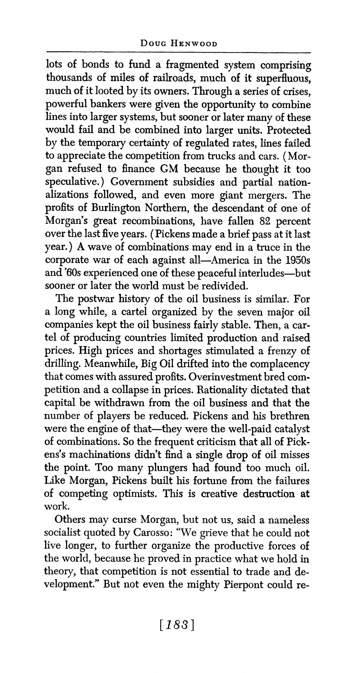**lots of bonds to fund a fragmented system comprising thousands of miles of railroads, much of it superfluous, much of it looted by its owners. Through a series of crises, powerful bankers were given the opportunity to combine lines into larger systems, but sooner or later many of these would fail and be combined into larger units. Protected by the temporary certainty of regulated rates, lines failed**  to appreciate the competition from trucks and cars. (Mor**gan refused to finance GM because he thought it too**  speculative.) Government subsidies and partial nation**alizations followed, and even more giant mergers. The profits of Burlington Northern, the descendant of one of Morgan's great recombinations, have fallen 82 percent over the last five years. (Pickens made a brief pass at it last year.) A wave of combinations may end in a truce in the corporate war of each against all-America in the 1950s and '60s experienced one of these peaceful interludes-but sooner or later the world must be redivided.** 

**The postwar history of the oil business is similar. For a long while, a cartel organized by the seven major oil companies kept the oil business fairly stable. Then, a car tel of producing countries limited production and raised prices. High prices and shortages stimulated a frenzy of drilling. Meanwhile, Big Oil drifted into the complacency that comes with assured profits. Overinvestment bred com petition and a collapse in prices. Rationality dictated that capital be withdrawn from the oil business and that the number of players be reduced. Pickens and his brethren**  were the engine of that-they were the well-paid catalyst **of combinations. So the frequent criticism that all of Pick ens's machinations didn't find a single drop of oil misses the point. Too many plungers had found too much oil. Like Morgan, Pickens built his fortune from the failures of competing optimists. This is creative destruction at work.** 

**Others may curse Morgan, but not us, said a nameless socialist quoted by Carosso: "We grieve that he could not live longer, to further organize the productive forces of the world, because he proved in practice what we hold in theory, that competition is not essential to trade and de velopment." But not even the mighty Pierpont could re**